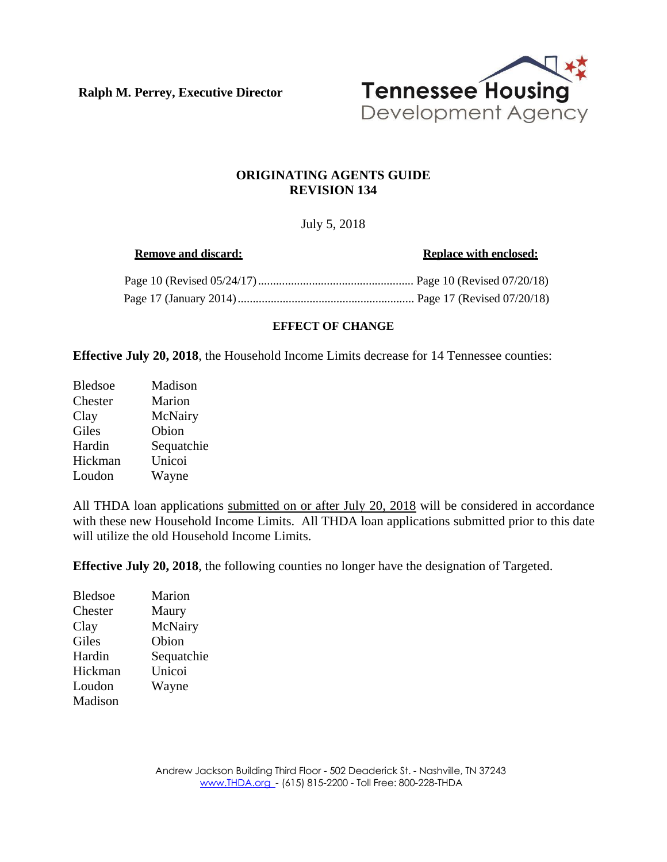**Ralph M. Perrey, Executive Director**



### **ORIGINATING AGENTS GUIDE REVISION 134**

## July 5, 2018

**Remove** and discard: **Replace Replace** with **enclosed:** Page 10 (Revised 05/24/17).................................................... Page 10 (Revised 07/20/18) Page 17 (January 2014)........................................................... Page 17 (Revised 07/20/18)

#### **EFFECT OF CHANGE**

**Effective July 20, 2018**, the Household Income Limits decrease for 14 Tennessee counties:

| <b>Bledsoe</b> | Madison    |
|----------------|------------|
| Chester        | Marion     |
| Clay           | McNairy    |
| Giles          | Obion      |
| Hardin         | Sequatchie |
| Hickman        | Unicoi     |
| Loudon         | Wayne      |

All THDA loan applications submitted on or after July 20, 2018 will be considered in accordance with these new Household Income Limits. All THDA loan applications submitted prior to this date will utilize the old Household Income Limits.

**Effective July 20, 2018**, the following counties no longer have the designation of Targeted.

| <b>Bledsoe</b> | Marion     |
|----------------|------------|
| Chester        | Maury      |
| Clay           | McNairy    |
| Giles          | Obion      |
| Hardin         | Sequatchie |
| Hickman        | Unicoi     |
| Loudon         | Wayne      |
| Madison        |            |
|                |            |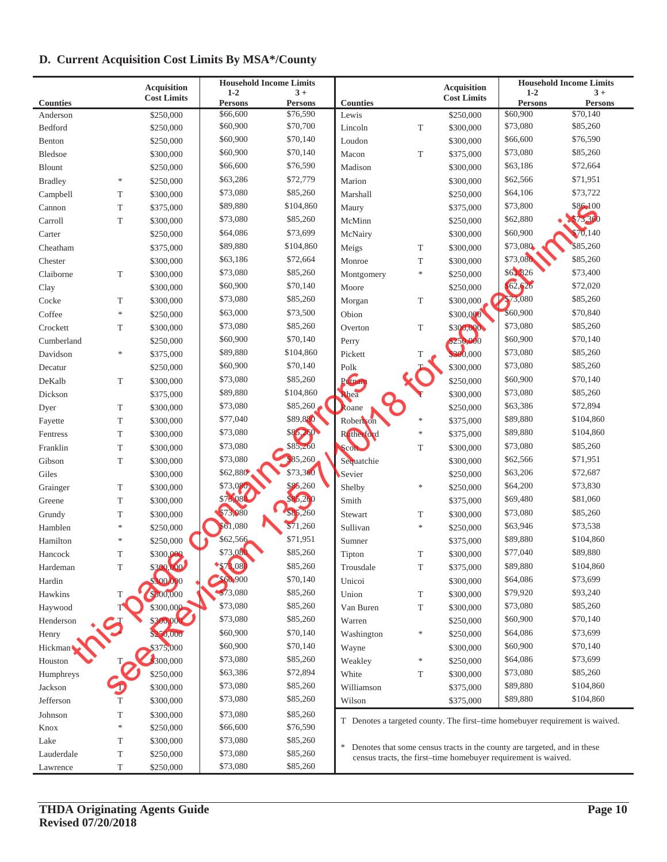# **D. Current Acquisition Cost Limits By MSA\*/County**

| <b>Acquisition</b>   |               | <b>Household Income Limits</b> |                      |                      |                 | <b>Acquisition</b> | <b>Household Income Limits</b>                                           |                      |                                                                              |  |
|----------------------|---------------|--------------------------------|----------------------|----------------------|-----------------|--------------------|--------------------------------------------------------------------------|----------------------|------------------------------------------------------------------------------|--|
|                      |               | <b>Cost Limits</b>             | $1 - 2$              | $3+$                 |                 |                    | <b>Cost Limits</b>                                                       | $1 - 2$              | $3+$                                                                         |  |
| <b>Counties</b>      |               |                                | <b>Persons</b>       | <b>Persons</b>       | <b>Counties</b> |                    |                                                                          | <b>Persons</b>       | <b>Persons</b>                                                               |  |
| Anderson             |               | \$250,000                      | \$66,600<br>\$60,900 | \$76,590<br>\$70,700 | Lewis           |                    | \$250,000                                                                | \$60,900<br>\$73,080 | \$70,140<br>\$85,260                                                         |  |
| Bedford              |               | \$250,000                      | \$60,900             | \$70,140             | Lincoln         | T                  | \$300,000                                                                | \$66,600             | \$76,590                                                                     |  |
| Benton               |               | \$250,000                      | \$60,900             | \$70,140             | Loudon          |                    | \$300,000                                                                | \$73,080             | \$85,260                                                                     |  |
| Bledsoe              |               | \$300,000                      |                      |                      | Macon           | T                  | \$375,000                                                                |                      |                                                                              |  |
| <b>Blount</b>        |               | \$250,000                      | \$66,600             | \$76,590             | Madison         |                    | \$300,000                                                                | \$63,186             | \$72,664                                                                     |  |
| <b>Bradley</b>       | $\ast$        | \$250,000                      | \$63,286             | \$72,779             | Marion          |                    | \$300,000                                                                | \$62,566             | \$71,951                                                                     |  |
| Campbell             | T             | \$300,000                      | \$73,080             | \$85,260             | Marshall        |                    | \$250,000                                                                | \$64,106             | \$73,722                                                                     |  |
| Cannon               | T             | \$375,000                      | \$89,880             | \$104,860            | Maury           |                    | \$375,000                                                                | \$73,800             | \$86,100                                                                     |  |
| Carroll              | $\mathbf T$   | \$300,000                      | \$73,080             | \$85,260             | McMinn          |                    | \$250,000                                                                | \$62,880             | \$73,360                                                                     |  |
| Carter               |               | \$250,000                      | \$64,086             | \$73,699             | McNairy         |                    | \$300,000                                                                | \$60,900             | \$70,140                                                                     |  |
| Cheatham             |               | \$375,000                      | \$89,880             | \$104,860            | Meigs           | T                  | \$300,000                                                                | \$73,080             | \$85,260                                                                     |  |
| Chester              |               | \$300,000                      | \$63,186             | \$72,664             | Monroe          | $\mathbf T$        | \$300,000                                                                | \$73,080             | \$85,260                                                                     |  |
| Claiborne            | T             | \$300,000                      | \$73,080             | \$85,260             | Montgomery      | $\ast$             | \$250,000                                                                | \$63,826             | \$73,400                                                                     |  |
| Clay                 |               | \$300,000                      | \$60,900             | \$70,140             | Moore           |                    | \$250,000                                                                | 62,626               | \$72,020                                                                     |  |
| Cocke                | T             | \$300,000                      | \$73,080             | \$85,260             | Morgan          | $\mathbf T$        | \$300,000                                                                | <b>373,080</b>       | \$85,260                                                                     |  |
| Coffee               | $\frac{1}{2}$ | \$250,000                      | \$63,000             | \$73,500             | Obion           |                    | \$300,000                                                                | \$60,900             | \$70,840                                                                     |  |
| Crockett             | T             | \$300,000                      | \$73,080             | \$85,260             | Overton         | $\mathbf T$        | \$300,000                                                                | \$73,080             | \$85,260                                                                     |  |
| Cumberland           |               | \$250,000                      | \$60,900             | \$70,140             | Perry           |                    | \$250,000                                                                | \$60,900             | \$70,140                                                                     |  |
| Davidson             | $\frac{1}{2}$ | \$375,000                      | \$89,880             | \$104,860            | Pickett         | T                  | 300,000                                                                  | \$73,080             | \$85,260                                                                     |  |
| Decatur              |               | \$250,000                      | \$60,900             | \$70,140             | Polk            |                    | \$300,000                                                                | \$73,080             | \$85,260                                                                     |  |
| DeKalb               | T             | \$300,000                      | \$73,080             | \$85,260             | Putnan          |                    | \$250,000                                                                | \$60,900             | \$70,140                                                                     |  |
| Dickson              |               | \$375,000                      | \$89,880             | \$104,860            | <b>Rhea</b>     |                    | \$300,000                                                                | \$73,080             | \$85,260                                                                     |  |
| Dyer                 | T             | \$300,000                      | \$73,080             | \$85,260             | Roane           |                    | \$250,000                                                                | \$63,386             | \$72,894                                                                     |  |
| Fayette              | T             | \$300,000                      | \$77,040             | \$89,880             | Robertson       | $\ast$             | \$375,000                                                                | \$89,880             | \$104,860                                                                    |  |
| Fentress             | T             | \$300,000                      | \$73,080             | \$85,260             | Rutherford      | $\ast$             | \$375,000                                                                | \$89,880             | \$104,860                                                                    |  |
| Franklin             | T             | \$300,000                      | \$73,080             | \$85,260             | Scott           | T                  | \$300,000                                                                | \$73,080             | \$85,260                                                                     |  |
| Gibson               | T             | \$300,000                      | \$73,080             | \$85,260             | Sequatchie      |                    | \$300,000                                                                | \$62,566             | \$71,951                                                                     |  |
| Giles                |               | \$300,000                      | \$62,880             | \$73,360             | Sevier          |                    | \$250,000                                                                | \$63,206             | \$72,687                                                                     |  |
| Grainger             | T             | \$300,000                      | \$73,080             | \$85,260             | Shelby          | $\ast$             | \$250,000                                                                | \$64,200             | \$73,830                                                                     |  |
| Greene               | T             | \$300,000                      | \$73,080             | \$85,260             | Smith           |                    | \$375,000                                                                | \$69,480             | \$81,060                                                                     |  |
| Grundy               | T             | \$300,000                      | \$73,080             | \$85,260             | Stewart         | T                  | \$300,000                                                                | \$73,080             | \$85,260                                                                     |  |
| Hamblen              | $\ast$        | \$250,000                      | \$61,080             | \$71,260             | Sullivan        | $\ast$             | \$250,000                                                                | \$63,946             | \$73,538                                                                     |  |
| Hamilton             | $\ast$        | \$250,000                      | \$62,566             | \$71,951             | Sumner          |                    | \$375,000                                                                | \$89,880             | \$104,860                                                                    |  |
| Hancock              | T             | \$300,000                      | \$73,080             | \$85,260             | Tipton          | T                  | \$300,000                                                                | \$77,040             | \$89,880                                                                     |  |
| Hardeman             | $\mathbf T$   | \$300,000                      | \$73,080             | \$85,260             | Trousdale       | T                  | \$375,000                                                                | \$89,880             | \$104,860                                                                    |  |
| Hardin               |               | 300.000                        | \$60,900             | \$70,140             | Unicoi          |                    | \$300,000                                                                | \$64,086             | \$73,699                                                                     |  |
| Hawkins              | T             | \$300,000                      | \$73,080             | \$85,260             | Union           | T                  | \$300,000                                                                | \$79,920             | \$93,240                                                                     |  |
| Haywood              |               | \$300,000                      | \$73,080             | \$85,260             | Van Buren       | T                  | \$300,000                                                                | \$73,080             | \$85,260                                                                     |  |
| Henderson            |               | \$300,000                      | \$73,080             | \$85,260             | Warren          |                    | \$250,000                                                                | \$60,900             | \$70,140                                                                     |  |
| Henry                |               | \$250,000                      | \$60,900             | \$70,140             | Washington      | *                  | \$250,000                                                                | \$64,086             | \$73,699                                                                     |  |
| Hickman              |               | \$375,000                      | \$60,900             | \$70,140             | Wayne           |                    | \$300,000                                                                | \$60,900             | \$70,140                                                                     |  |
| Houston              |               | 300,000                        | \$73,080             | \$85,260             | Weakley         | $\ast$             | \$250,000                                                                | \$64,086             | \$73,699                                                                     |  |
|                      |               | \$250,000                      | \$63,386             | \$72,894             | White           | T                  |                                                                          | \$73,080             | \$85,260                                                                     |  |
| Humphreys<br>Jackson |               | \$300,000                      | \$73,080             | \$85,260             |                 |                    | \$300,000                                                                | \$89,880             | \$104,860                                                                    |  |
|                      |               |                                | \$73,080             | \$85,260             | Williamson      |                    | \$375,000                                                                | \$89,880             | \$104,860                                                                    |  |
| Jefferson            | T             | \$300,000                      |                      |                      | Wilson          |                    | \$375,000                                                                |                      |                                                                              |  |
| Johnson              | T             | \$300,000                      | \$73,080             | \$85,260             |                 |                    |                                                                          |                      | T Denotes a targeted county. The first-time homebuyer requirement is waived. |  |
| Knox                 | $\frac{1}{2}$ | \$250,000                      | \$66,600             | \$76,590             |                 |                    |                                                                          |                      |                                                                              |  |
| Lake                 | T             | \$300,000                      | \$73,080             | \$85,260             | $\frac{1}{2}$   |                    | Denotes that some census tracts in the county are targeted, and in these |                      |                                                                              |  |
| Lauderdale           | T             | \$250,000                      | \$73,080             | \$85,260             |                 |                    | census tracts, the first-time homebuyer requirement is waived.           |                      |                                                                              |  |
| Lawrence             | T             | \$250,000                      | \$73,080             | \$85,260             |                 |                    |                                                                          |                      |                                                                              |  |